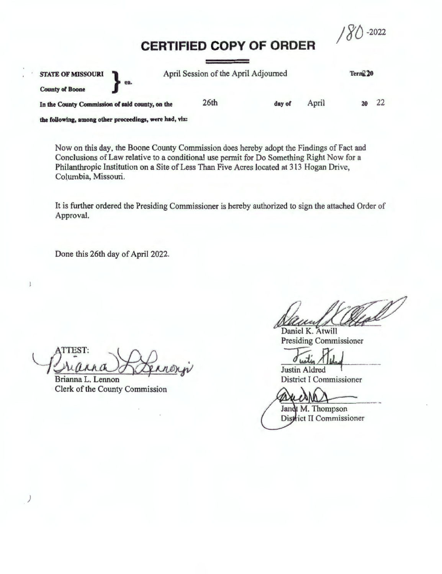/ S'{)-2022

# **CERTIFIED COPY OF ORDER**

| <b>STATE OF MISSOURI</b><br>s ea.               | April Session of the April Adjourned |        |       | Term <sub>220</sub> |    |
|-------------------------------------------------|--------------------------------------|--------|-------|---------------------|----|
| <b>County of Boone</b>                          |                                      |        |       |                     |    |
| In the County Commission of said county, on the | 26 <sub>th</sub>                     | day of | April |                     | 22 |
|                                                 |                                      |        |       |                     |    |

the following, among other proceedings, were had, viz:

Now on this day, the Boone County Commission does hereby adopt the Findings of Fact and Conclusions of Law relative to a conditional use permit for Do Something Right Now for a Philanthropic Institution on a Site of Less Than Five Acres located at 313 Hogan Drive, Columbia, Missouri.

It is further ordered the Presiding Commissioner is hereby authorized to sign the attached Order of Approval.

Done this 26th day of April 2022.

Prianna Ranner ;

Brianna L. Lennon Clerk of the County Commission

l .•

 $\frac{3}{P}$ 

Daniel K. Atwill Presiding Commissioner

Justin Aldred

District I Commissioner

Jandt M. Thompson District II Commissioner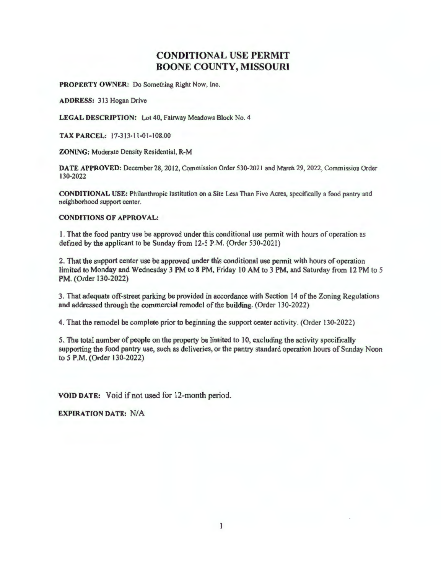# **CONDITIONAL** USE **PERMIT BOONE COUNTY, MISSOURI**

**PROPERTY OWNER:** Do Something Right Now, Inc.

**ADDRESS: 313 Hogan Drive** 

**LEGAL DESCRIPTION:** Lot 40, Fairway Meadows Block No. 4

**TAX PARCEL:** 17-313- 11-01-108.00

**ZONING:** Moderate Density Residential, **R-M** 

DATE APPROVED: December 28, 2012, Commission Order 530-2021 and March 29, 2022, Commission Order 130-2022

**CONDITIONAL USE:** Philanthropic Institution on a Site Less Than Five Acres, specifically a food pantry and neighborhood support center.

### **CONDITIONS OF APPROVAL:**

1. That the food pantry use be approved under this conditional use pennit with hours of operation as defined by the applicant to be Sunday from 12-5 **P.M.** (Order 530-2021)

2. That the support center use be approved under this conditional use pennit with hours of operation limited to Monday and Wednesday 3 PM to 8 PM, Friday 10 AM to 3 PM, and Saturday from 12 PM to 5 PM. (Order 130-2022)

3. That adequate off-street parking be provided in accordance with Section 14 of the Zoning Regulations and addressed through the commercial remodel of the building. (Order 130-2022)

4. That the remodel be complete prior to beginning the support center activity. (Order 130-2022)

5. The total number of people on the property be limited to 10, excluding the activity specifically supporting the food pantry use, such as deliveries, or the pantry standard operation hours of Sunday Noon to 5 P.M. (Order 130-2022)

**VOID DATE:** Void if not used for 12-month period.

**EXPIRATION DATE: N/A**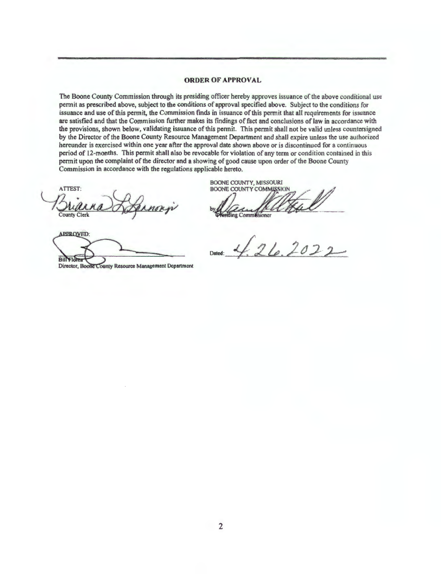#### **ORDER OF APPROVAL**

The Boone County Commission through its presiding officer hereby approves issuance of the above conditional use permit as prescribed above, subject to the conditions of approval specified above. Subject to the conditions for issuance and use of this permit, the Commission finds in issuance of this permit that all requirements for issuance are satisfied and that the Commission further makes its findings of fact and conclusions of law in accordance with the provisions, shown below, validating issuance of this permit. This permit shall not be valid unless countersigned by the Director of the Boone County Resource Management Department and shall expire unless the use authorized hereunder is exercised within one year after the approval date shown above or is discontinued for a continuous period of 12-months. This permit shall also be revocable for violation of any term or condition contained in this permit upon the complaint of the director and a showing of good cause upon order of the Boone County Commission in accordance with the regulations applicable hereto.

ATTEST: **County Clerk** 

**APPROVED: BillYIO** Director, Boone County Resource Management Department

**BOONE COUNTY, MISSOURI BOONE COUNTY COMMISSION** 

ding Commissioner

 $26.2022$ Dated: